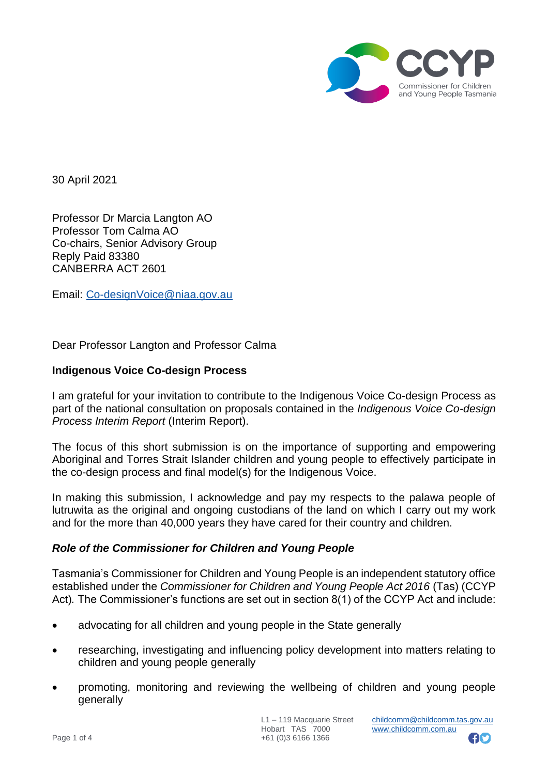

30 April 2021

Professor Dr Marcia Langton AO Professor Tom Calma AO Co-chairs, Senior Advisory Group Reply Paid 83380 CANBERRA ACT 2601

Email: [Co-designVoice@niaa.gov.au](mailto:Co-designVoice@niaa.gov.au)

Dear Professor Langton and Professor Calma

## **Indigenous Voice Co-design Process**

I am grateful for your invitation to contribute to the Indigenous Voice Co-design Process as part of the national consultation on proposals contained in the *Indigenous Voice Co-design Process Interim Report* (Interim Report).

The focus of this short submission is on the importance of supporting and empowering Aboriginal and Torres Strait Islander children and young people to effectively participate in the co-design process and final model(s) for the Indigenous Voice.

In making this submission, I acknowledge and pay my respects to the palawa people of lutruwita as the original and ongoing custodians of the land on which I carry out my work and for the more than 40,000 years they have cared for their country and children.

## *Role of the Commissioner for Children and Young People*

Tasmania's Commissioner for Children and Young People is an independent statutory office established under the *Commissioner for Children and Young People Act 2016* (Tas) (CCYP Act)*.* The Commissioner's functions are set out in section 8(1) of the CCYP Act and include:

- advocating for all children and young people in the State generally
- researching, investigating and influencing policy development into matters relating to children and young people generally
- promoting, monitoring and reviewing the wellbeing of children and young people generally

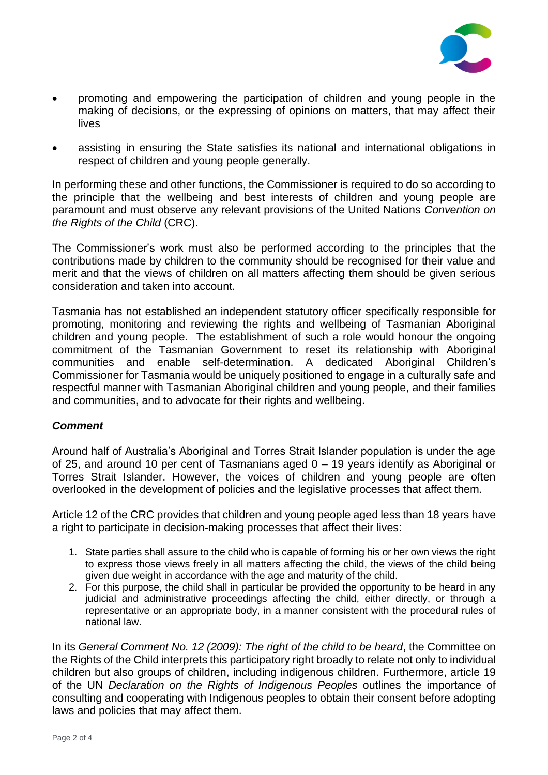

- promoting and empowering the participation of children and young people in the making of decisions, or the expressing of opinions on matters, that may affect their lives
- assisting in ensuring the State satisfies its national and international obligations in respect of children and young people generally.

In performing these and other functions, the Commissioner is required to do so according to the principle that the wellbeing and best interests of children and young people are paramount and must observe any relevant provisions of the United Nations *Convention on the Rights of the Child* (CRC).

The Commissioner's work must also be performed according to the principles that the contributions made by children to the community should be recognised for their value and merit and that the views of children on all matters affecting them should be given serious consideration and taken into account.

Tasmania has not established an independent statutory officer specifically responsible for promoting, monitoring and reviewing the rights and wellbeing of Tasmanian Aboriginal children and young people. The establishment of such a role would honour the ongoing commitment of the Tasmanian Government to reset its relationship with Aboriginal communities and enable self-determination. A dedicated Aboriginal Children's Commissioner for Tasmania would be uniquely positioned to engage in a culturally safe and respectful manner with Tasmanian Aboriginal children and young people, and their families and communities, and to advocate for their rights and wellbeing.

## *Comment*

Around half of Australia's Aboriginal and Torres Strait Islander population is under the age of 25, and around 10 per cent of Tasmanians aged 0 – 19 years identify as Aboriginal or Torres Strait Islander. However, the voices of children and young people are often overlooked in the development of policies and the legislative processes that affect them.

Article 12 of the CRC provides that children and young people aged less than 18 years have a right to participate in decision-making processes that affect their lives:

- 1. State parties shall assure to the child who is capable of forming his or her own views the right to express those views freely in all matters affecting the child, the views of the child being given due weight in accordance with the age and maturity of the child.
- 2. For this purpose, the child shall in particular be provided the opportunity to be heard in any judicial and administrative proceedings affecting the child, either directly, or through a representative or an appropriate body, in a manner consistent with the procedural rules of national law.

In its *General Comment No. 12 (2009): The right of the child to be heard*, the Committee on the Rights of the Child interprets this participatory right broadly to relate not only to individual children but also groups of children, including indigenous children. Furthermore, article 19 of the UN *Declaration on the Rights of Indigenous Peoples* outlines the importance of consulting and cooperating with Indigenous peoples to obtain their consent before adopting laws and policies that may affect them.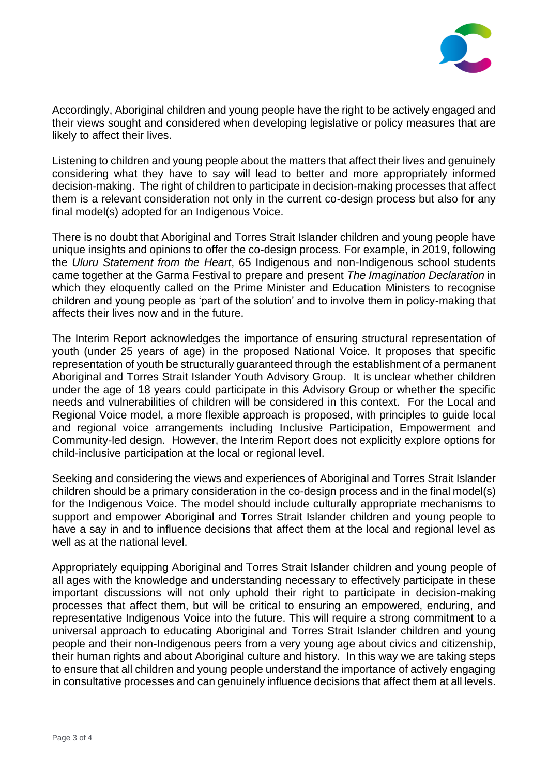

Accordingly, Aboriginal children and young people have the right to be actively engaged and their views sought and considered when developing legislative or policy measures that are likely to affect their lives.

Listening to children and young people about the matters that affect their lives and genuinely considering what they have to say will lead to better and more appropriately informed decision-making. The right of children to participate in decision-making processes that affect them is a relevant consideration not only in the current co-design process but also for any final model(s) adopted for an Indigenous Voice.

There is no doubt that Aboriginal and Torres Strait Islander children and young people have unique insights and opinions to offer the co-design process. For example, in 2019, following the *Uluru Statement from the Heart*, 65 Indigenous and non-Indigenous school students came together at the Garma Festival to prepare and present *The Imagination Declaration* in which they eloquently called on the Prime Minister and Education Ministers to recognise children and young people as 'part of the solution' and to involve them in policy-making that affects their lives now and in the future.

The Interim Report acknowledges the importance of ensuring structural representation of youth (under 25 years of age) in the proposed National Voice. It proposes that specific representation of youth be structurally guaranteed through the establishment of a permanent Aboriginal and Torres Strait Islander Youth Advisory Group. It is unclear whether children under the age of 18 years could participate in this Advisory Group or whether the specific needs and vulnerabilities of children will be considered in this context. For the Local and Regional Voice model, a more flexible approach is proposed, with principles to guide local and regional voice arrangements including Inclusive Participation, Empowerment and Community-led design. However, the Interim Report does not explicitly explore options for child-inclusive participation at the local or regional level.

Seeking and considering the views and experiences of Aboriginal and Torres Strait Islander children should be a primary consideration in the co-design process and in the final model(s) for the Indigenous Voice. The model should include culturally appropriate mechanisms to support and empower Aboriginal and Torres Strait Islander children and young people to have a say in and to influence decisions that affect them at the local and regional level as well as at the national level.

Appropriately equipping Aboriginal and Torres Strait Islander children and young people of all ages with the knowledge and understanding necessary to effectively participate in these important discussions will not only uphold their right to participate in decision-making processes that affect them, but will be critical to ensuring an empowered, enduring, and representative Indigenous Voice into the future. This will require a strong commitment to a universal approach to educating Aboriginal and Torres Strait Islander children and young people and their non-Indigenous peers from a very young age about civics and citizenship, their human rights and about Aboriginal culture and history. In this way we are taking steps to ensure that all children and young people understand the importance of actively engaging in consultative processes and can genuinely influence decisions that affect them at all levels.